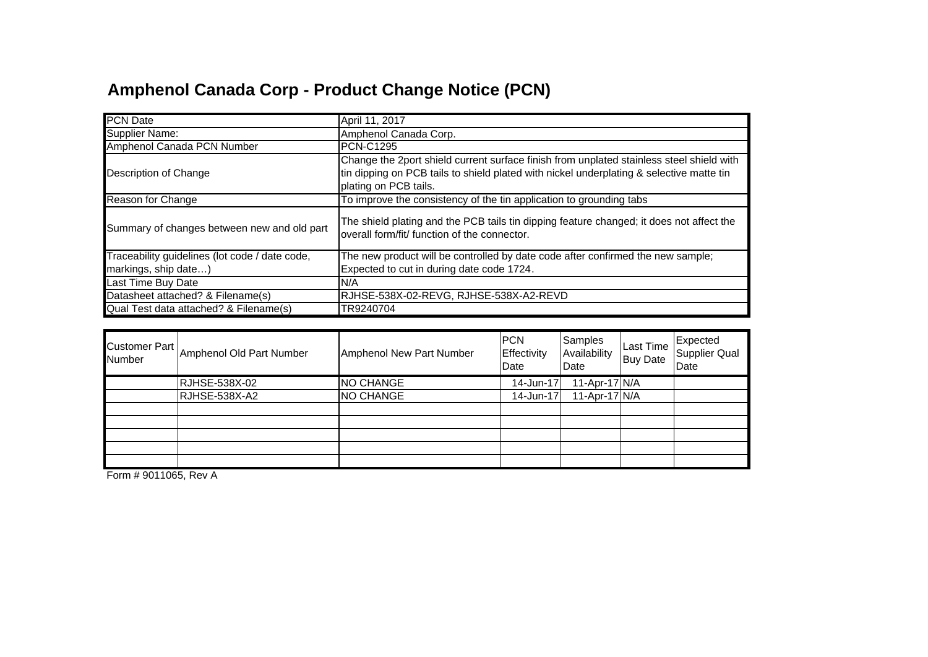## **Amphenol Canada Corp - Product Change Notice (PCN)**

| <b>PCN</b> Date                                | April 11, 2017                                                                                                                                                                                                |  |  |  |  |
|------------------------------------------------|---------------------------------------------------------------------------------------------------------------------------------------------------------------------------------------------------------------|--|--|--|--|
| Supplier Name:                                 | Amphenol Canada Corp.                                                                                                                                                                                         |  |  |  |  |
| Amphenol Canada PCN Number                     | <b>PCN-C1295</b>                                                                                                                                                                                              |  |  |  |  |
| Description of Change                          | Change the 2port shield current surface finish from unplated stainless steel shield with<br>tin dipping on PCB tails to shield plated with nickel underplating & selective matte tin<br>plating on PCB tails. |  |  |  |  |
| Reason for Change                              | To improve the consistency of the tin application to grounding tabs                                                                                                                                           |  |  |  |  |
| Summary of changes between new and old part    | The shield plating and the PCB tails tin dipping feature changed; it does not affect the<br>overall form/fit/ function of the connector.                                                                      |  |  |  |  |
| Traceability guidelines (lot code / date code, | The new product will be controlled by date code after confirmed the new sample;                                                                                                                               |  |  |  |  |
| markings, ship date)                           | Expected to cut in during date code 1724.                                                                                                                                                                     |  |  |  |  |
| Last Time Buy Date                             | N/A                                                                                                                                                                                                           |  |  |  |  |
| Datasheet attached? & Filename(s)              | RJHSE-538X-02-REVG, RJHSE-538X-A2-REVD                                                                                                                                                                        |  |  |  |  |
| Qual Test data attached? & Filename(s)         | TR9240704                                                                                                                                                                                                     |  |  |  |  |

| <b>Customer Part</b><br>Number | Amphenol Old Part Number | Amphenol New Part Number | <b>PCN</b><br>Effectivity<br>Date | Samples<br>Availability<br>Date | <b>Last Time</b><br><b>Buy Date</b> | Expected<br>Supplier Qual<br>Date |
|--------------------------------|--------------------------|--------------------------|-----------------------------------|---------------------------------|-------------------------------------|-----------------------------------|
|                                | RJHSE-538X-02            | <b>NO CHANGE</b>         | 14-Jun-17                         | 11-Apr-17 $N/A$                 |                                     |                                   |
|                                | RJHSE-538X-A2            | <b>NO CHANGE</b>         | 14-Jun-17                         | 11-Apr-17 N/A                   |                                     |                                   |
|                                |                          |                          |                                   |                                 |                                     |                                   |
|                                |                          |                          |                                   |                                 |                                     |                                   |
|                                |                          |                          |                                   |                                 |                                     |                                   |
|                                |                          |                          |                                   |                                 |                                     |                                   |
|                                |                          |                          |                                   |                                 |                                     |                                   |

Form # 9011065, Rev A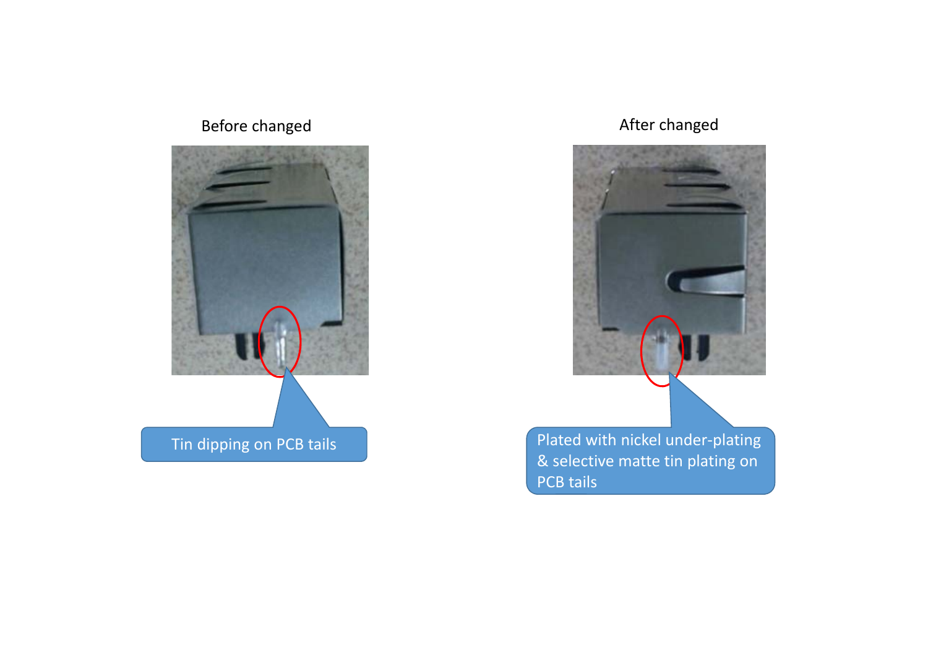## **Before changed**



## After changed



Plated with nickel under-plating & selective matte tin plating on PCB tails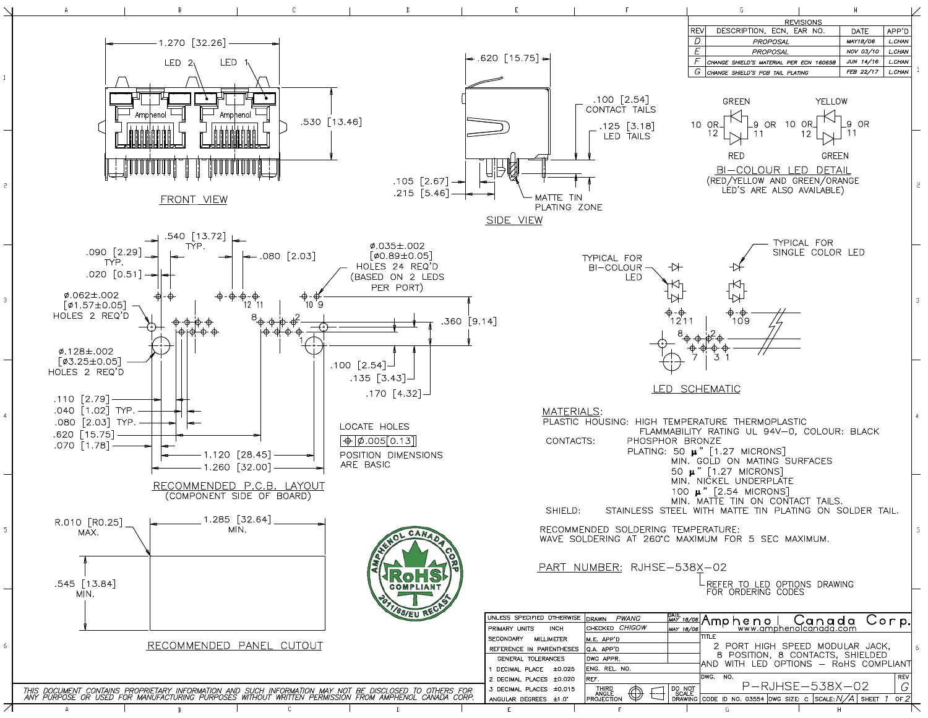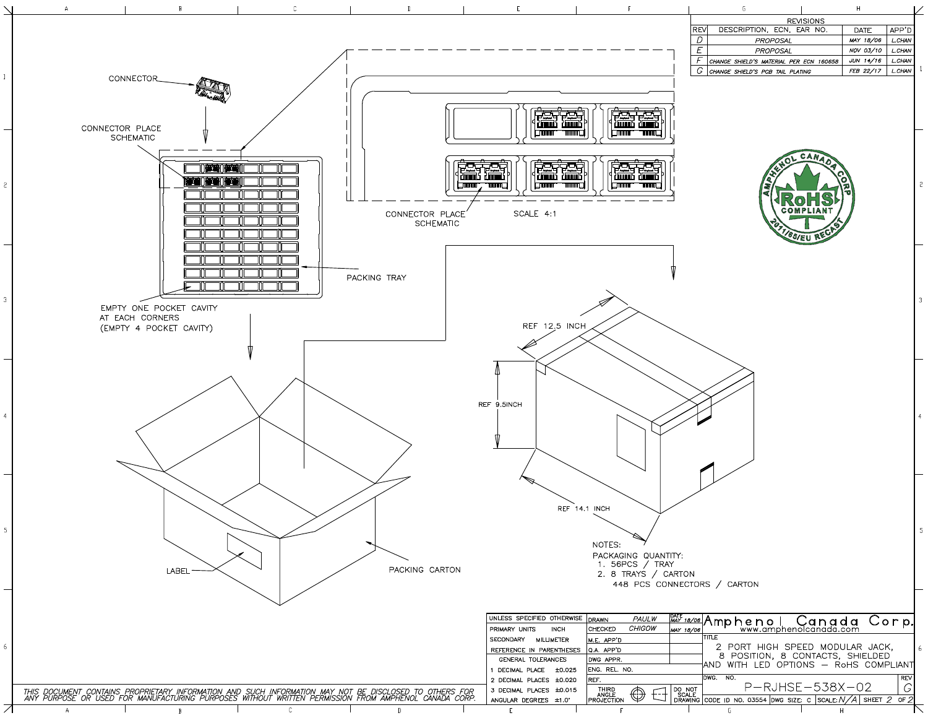